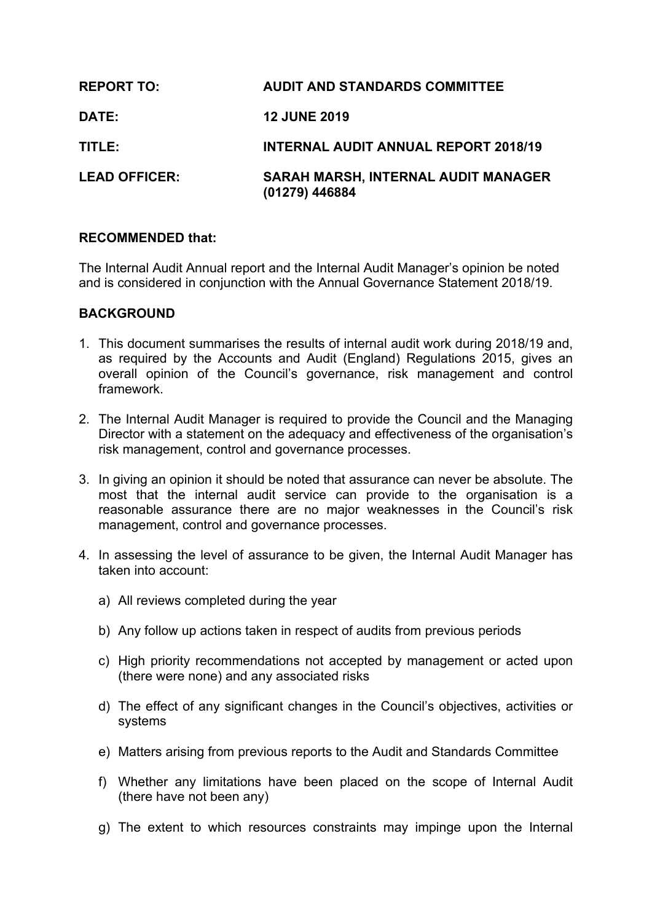| <b>REPORT TO:</b>    | <b>AUDIT AND STANDARDS COMMITTEE</b>                         |
|----------------------|--------------------------------------------------------------|
| <b>DATE:</b>         | <b>12 JUNE 2019</b>                                          |
| TITLE:               | <b>INTERNAL AUDIT ANNUAL REPORT 2018/19</b>                  |
| <b>LEAD OFFICER:</b> | <b>SARAH MARSH, INTERNAL AUDIT MANAGER</b><br>(01279) 446884 |

#### **RECOMMENDED that:**

The Internal Audit Annual report and the Internal Audit Manager's opinion be noted and is considered in conjunction with the Annual Governance Statement 2018/19.

#### **BACKGROUND**

- 1. This document summarises the results of internal audit work during 2018/19 and, as required by the Accounts and Audit (England) Regulations 2015, gives an overall opinion of the Council's governance, risk management and control framework.
- 2. The Internal Audit Manager is required to provide the Council and the Managing Director with a statement on the adequacy and effectiveness of the organisation's risk management, control and governance processes.
- 3. In giving an opinion it should be noted that assurance can never be absolute. The most that the internal audit service can provide to the organisation is a reasonable assurance there are no major weaknesses in the Council's risk management, control and governance processes.
- 4. In assessing the level of assurance to be given, the Internal Audit Manager has taken into account:
	- a) All reviews completed during the year
	- b) Any follow up actions taken in respect of audits from previous periods
	- c) High priority recommendations not accepted by management or acted upon (there were none) and any associated risks
	- d) The effect of any significant changes in the Council's objectives, activities or systems
	- e) Matters arising from previous reports to the Audit and Standards Committee
	- f) Whether any limitations have been placed on the scope of Internal Audit (there have not been any)
	- g) The extent to which resources constraints may impinge upon the Internal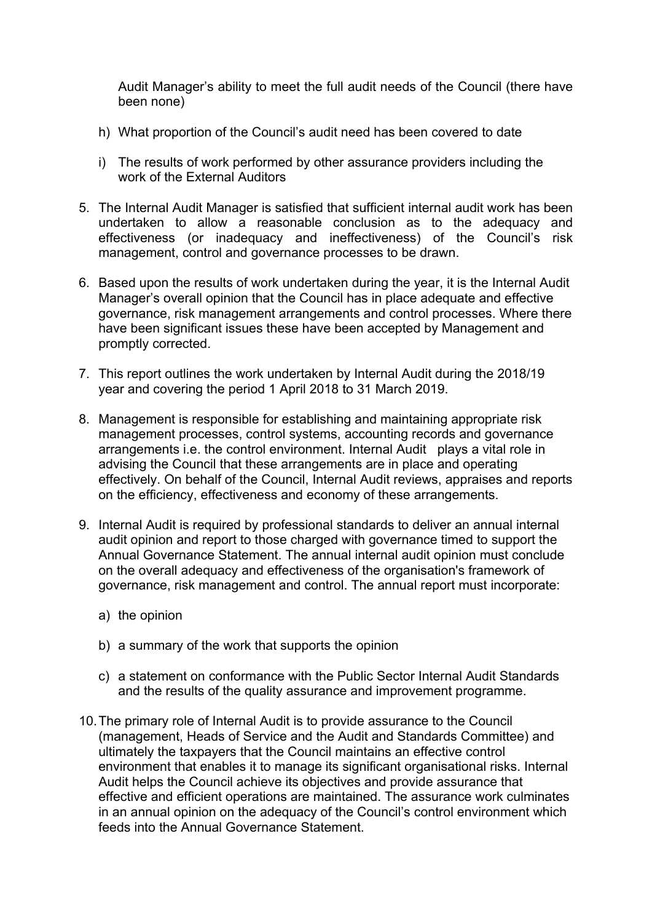Audit Manager's ability to meet the full audit needs of the Council (there have been none)

- h) What proportion of the Council's audit need has been covered to date
- i) The results of work performed by other assurance providers including the work of the External Auditors
- 5. The Internal Audit Manager is satisfied that sufficient internal audit work has been undertaken to allow a reasonable conclusion as to the adequacy and effectiveness (or inadequacy and ineffectiveness) of the Council's risk management, control and governance processes to be drawn.
- 6. Based upon the results of work undertaken during the year, it is the Internal Audit Manager's overall opinion that the Council has in place adequate and effective governance, risk management arrangements and control processes. Where there have been significant issues these have been accepted by Management and promptly corrected.
- 7. This report outlines the work undertaken by Internal Audit during the 2018/19 year and covering the period 1 April 2018 to 31 March 2019.
- 8. Management is responsible for establishing and maintaining appropriate risk management processes, control systems, accounting records and governance arrangements i.e. the control environment. Internal Audit plays a vital role in advising the Council that these arrangements are in place and operating effectively. On behalf of the Council, Internal Audit reviews, appraises and reports on the efficiency, effectiveness and economy of these arrangements.
- 9. Internal Audit is required by professional standards to deliver an annual internal audit opinion and report to those charged with governance timed to support the Annual Governance Statement. The annual internal audit opinion must conclude on the overall adequacy and effectiveness of the organisation's framework of governance, risk management and control. The annual report must incorporate:
	- a) the opinion
	- b) a summary of the work that supports the opinion
	- c) a statement on conformance with the Public Sector Internal Audit Standards and the results of the quality assurance and improvement programme.
- 10.The primary role of Internal Audit is to provide assurance to the Council (management, Heads of Service and the Audit and Standards Committee) and ultimately the taxpayers that the Council maintains an effective control environment that enables it to manage its significant organisational risks. Internal Audit helps the Council achieve its objectives and provide assurance that effective and efficient operations are maintained. The assurance work culminates in an annual opinion on the adequacy of the Council's control environment which feeds into the Annual Governance Statement.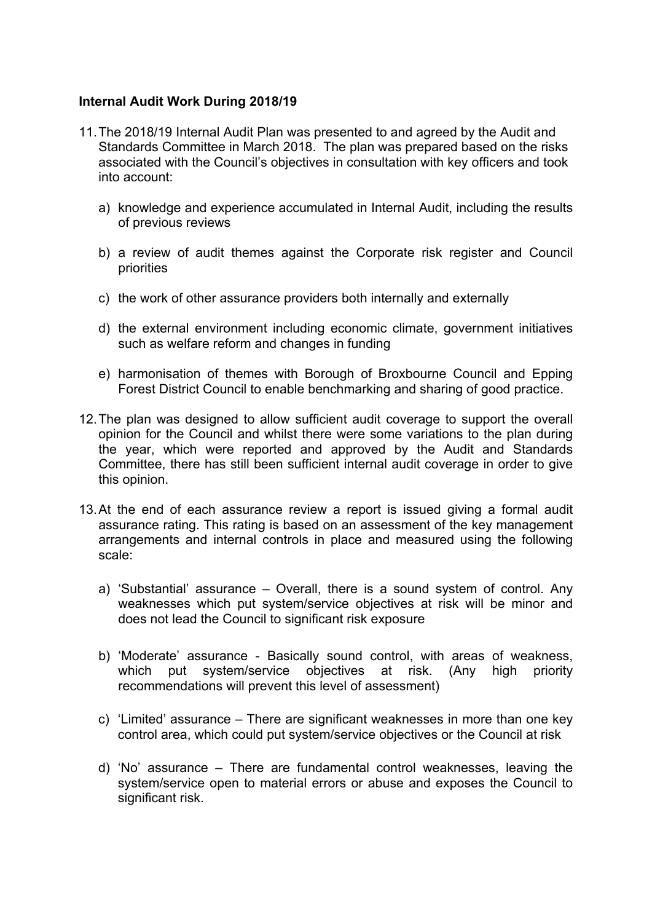#### **Internal Audit Work During 2018/19**

- 11.The 2018/19 Internal Audit Plan was presented to and agreed by the Audit and Standards Committee in March 2018. The plan was prepared based on the risks associated with the Council's objectives in consultation with key officers and took into account:
	- a) knowledge and experience accumulated in Internal Audit, including the results of previous reviews
	- b) a review of audit themes against the Corporate risk register and Council priorities
	- c) the work of other assurance providers both internally and externally
	- d) the external environment including economic climate, government initiatives such as welfare reform and changes in funding
	- e) harmonisation of themes with Borough of Broxbourne Council and Epping Forest District Council to enable benchmarking and sharing of good practice.
- 12.The plan was designed to allow sufficient audit coverage to support the overall opinion for the Council and whilst there were some variations to the plan during the year, which were reported and approved by the Audit and Standards Committee, there has still been sufficient internal audit coverage in order to give this opinion.
- 13.At the end of each assurance review a report is issued giving a formal audit assurance rating. This rating is based on an assessment of the key management arrangements and internal controls in place and measured using the following scale:
	- a) 'Substantial' assurance Overall, there is a sound system of control. Any weaknesses which put system/service objectives at risk will be minor and does not lead the Council to significant risk exposure
	- b) 'Moderate' assurance Basically sound control, with areas of weakness, which put system/service objectives at risk. (Any high priority recommendations will prevent this level of assessment)
	- c) 'Limited' assurance There are significant weaknesses in more than one key control area, which could put system/service objectives or the Council at risk
	- d) 'No' assurance There are fundamental control weaknesses, leaving the system/service open to material errors or abuse and exposes the Council to significant risk.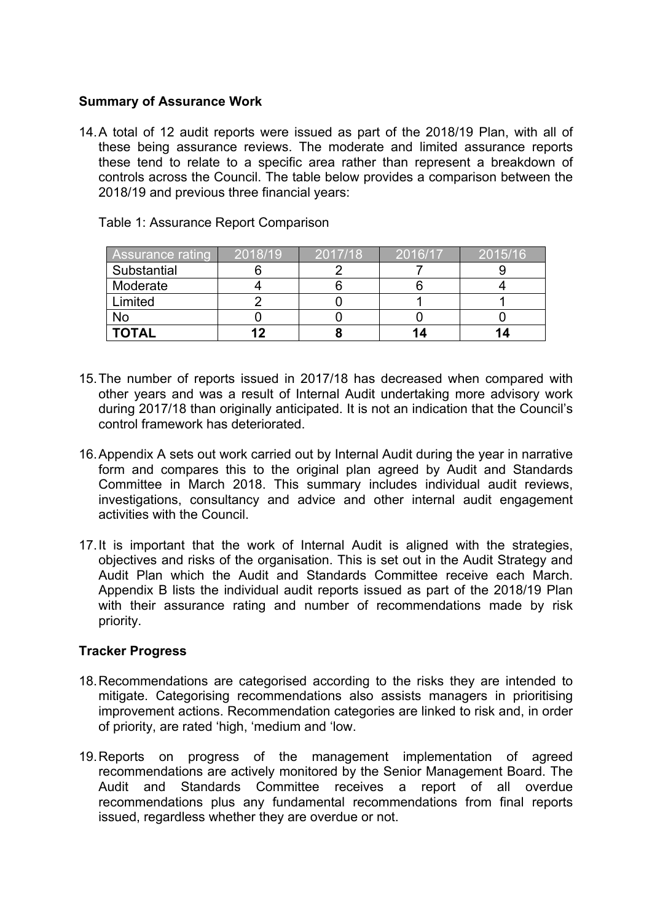## **Summary of Assurance Work**

14.A total of 12 audit reports were issued as part of the 2018/19 Plan, with all of these being assurance reviews. The moderate and limited assurance reports these tend to relate to a specific area rather than represent a breakdown of controls across the Council. The table below provides a comparison between the 2018/19 and previous three financial years:

| <b>Assurance rating</b> | $\sqrt{2018/19}$ | 2017/18 | 2016/17 | 2015/16 |
|-------------------------|------------------|---------|---------|---------|
| Substantial             |                  |         |         |         |
| Moderate                |                  |         |         |         |
| Limited                 |                  |         |         |         |
| No                      |                  |         |         |         |
| <b>TOTAL</b>            | 12               |         |         |         |

Table 1: Assurance Report Comparison

- 15.The number of reports issued in 2017/18 has decreased when compared with other years and was a result of Internal Audit undertaking more advisory work during 2017/18 than originally anticipated. It is not an indication that the Council's control framework has deteriorated.
- 16.Appendix A sets out work carried out by Internal Audit during the year in narrative form and compares this to the original plan agreed by Audit and Standards Committee in March 2018. This summary includes individual audit reviews, investigations, consultancy and advice and other internal audit engagement activities with the Council.
- 17.It is important that the work of Internal Audit is aligned with the strategies, objectives and risks of the organisation. This is set out in the Audit Strategy and Audit Plan which the Audit and Standards Committee receive each March. Appendix B lists the individual audit reports issued as part of the 2018/19 Plan with their assurance rating and number of recommendations made by risk priority.

### **Tracker Progress**

- 18.Recommendations are categorised according to the risks they are intended to mitigate. Categorising recommendations also assists managers in prioritising improvement actions. Recommendation categories are linked to risk and, in order of priority, are rated 'high, 'medium and 'low.
- 19.Reports on progress of the management implementation of agreed recommendations are actively monitored by the Senior Management Board. The Audit and Standards Committee receives a report of all overdue recommendations plus any fundamental recommendations from final reports issued, regardless whether they are overdue or not.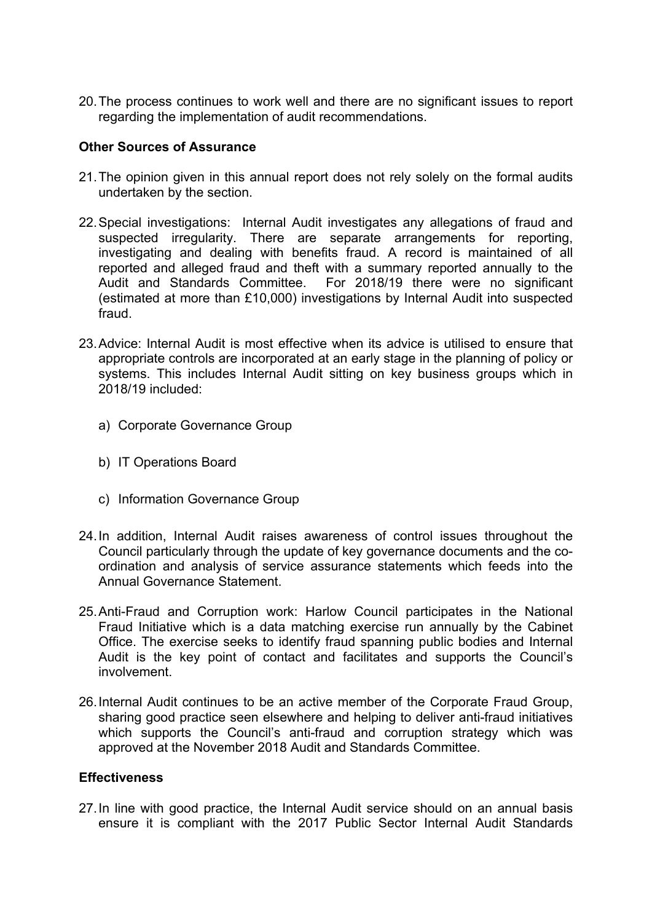20.The process continues to work well and there are no significant issues to report regarding the implementation of audit recommendations.

## **Other Sources of Assurance**

- 21.The opinion given in this annual report does not rely solely on the formal audits undertaken by the section.
- 22.Special investigations: Internal Audit investigates any allegations of fraud and suspected irregularity. There are separate arrangements for reporting, investigating and dealing with benefits fraud. A record is maintained of all reported and alleged fraud and theft with a summary reported annually to the Audit and Standards Committee. For 2018/19 there were no significant (estimated at more than £10,000) investigations by Internal Audit into suspected fraud.
- 23.Advice: Internal Audit is most effective when its advice is utilised to ensure that appropriate controls are incorporated at an early stage in the planning of policy or systems. This includes Internal Audit sitting on key business groups which in 2018/19 included:
	- a) Corporate Governance Group
	- b) IT Operations Board
	- c) Information Governance Group
- 24.In addition, Internal Audit raises awareness of control issues throughout the Council particularly through the update of key governance documents and the coordination and analysis of service assurance statements which feeds into the Annual Governance Statement.
- 25.Anti-Fraud and Corruption work: Harlow Council participates in the National Fraud Initiative which is a data matching exercise run annually by the Cabinet Office. The exercise seeks to identify fraud spanning public bodies and Internal Audit is the key point of contact and facilitates and supports the Council's involvement.
- 26.Internal Audit continues to be an active member of the Corporate Fraud Group, sharing good practice seen elsewhere and helping to deliver anti-fraud initiatives which supports the Council's anti-fraud and corruption strategy which was approved at the November 2018 Audit and Standards Committee.

### **Effectiveness**

27.In line with good practice, the Internal Audit service should on an annual basis ensure it is compliant with the 2017 Public Sector Internal Audit Standards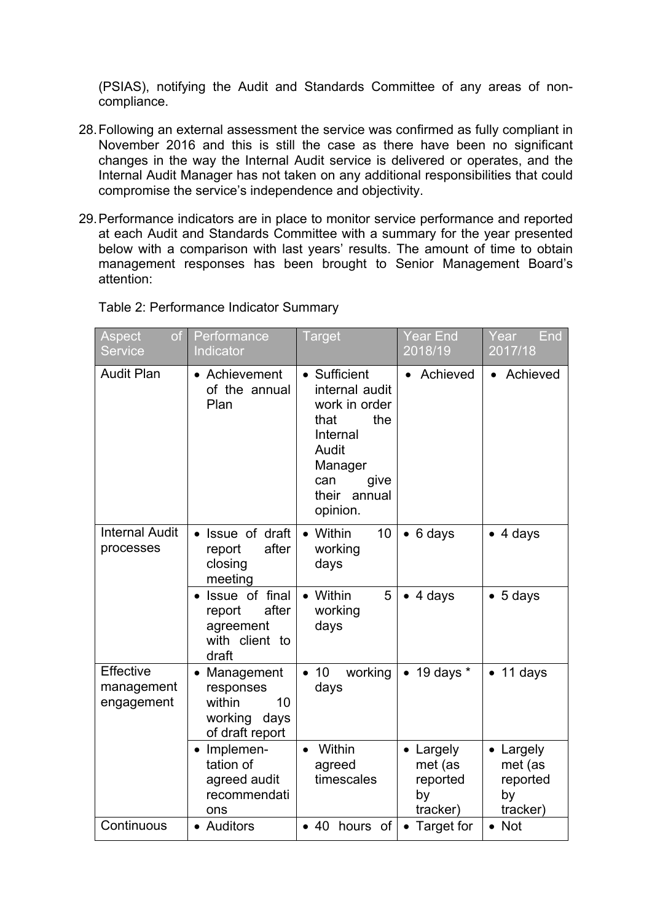(PSIAS), notifying the Audit and Standards Committee of any areas of noncompliance.

- 28.Following an external assessment the service was confirmed as fully compliant in November 2016 and this is still the case as there have been no significant changes in the way the Internal Audit service is delivered or operates, and the Internal Audit Manager has not taken on any additional responsibilities that could compromise the service's independence and objectivity.
- 29.Performance indicators are in place to monitor service performance and reported at each Audit and Standards Committee with a summary for the year presented below with a comparison with last years' results. The amount of time to obtain management responses has been brought to Senior Management Board's attention:

| Table 2: Performance Indicator Summary |  |  |  |  |
|----------------------------------------|--|--|--|--|
|----------------------------------------|--|--|--|--|

| Aspect<br>of <sub>1</sub><br><b>Service</b>  | Performance<br>Indicator                                                                   | <b>Target</b>                                                                                                                                | <b>Year End</b><br>2018/19                                    | Year<br>End<br>2017/18                             |
|----------------------------------------------|--------------------------------------------------------------------------------------------|----------------------------------------------------------------------------------------------------------------------------------------------|---------------------------------------------------------------|----------------------------------------------------|
| <b>Audit Plan</b>                            | • Achievement<br>of the annual<br>Plan                                                     | • Sufficient<br>internal audit<br>work in order<br>the<br>that<br>Internal<br>Audit<br>Manager<br>can<br>give<br>their<br>annual<br>opinion. | Achieved                                                      | Achieved                                           |
| <b>Internal Audit</b><br>processes           | Issue of draft<br>after<br>report<br>closing<br>meeting                                    | 10<br>Within<br>$\bullet$<br>working<br>days                                                                                                 | $\bullet$ 6 days                                              | $\bullet$ 4 days                                   |
|                                              | Issue of final<br>after<br>report<br>agreement<br>with client to<br>draft                  | Within<br>5<br>working<br>days                                                                                                               | 4 days                                                        | $\bullet$ 5 days                                   |
| <b>Effective</b><br>management<br>engagement | Management<br>$\bullet$<br>responses<br>within<br>10<br>working<br>days<br>of draft report | 10<br>working<br>$\bullet$<br>days                                                                                                           | $\bullet$ 19 days $^*$                                        | $\bullet$ 11 days                                  |
|                                              | • Implemen-<br>tation of<br>agreed audit<br>recommendati<br>ons                            | Within<br>$\bullet$<br>agreed<br>timescales                                                                                                  | Largely<br>$\bullet$<br>met (as<br>reported<br>by<br>tracker) | • Largely<br>met (as<br>reported<br>by<br>tracker) |
| Continuous                                   | • Auditors                                                                                 | • 40 hours of                                                                                                                                | • Target for                                                  | $\bullet$ Not                                      |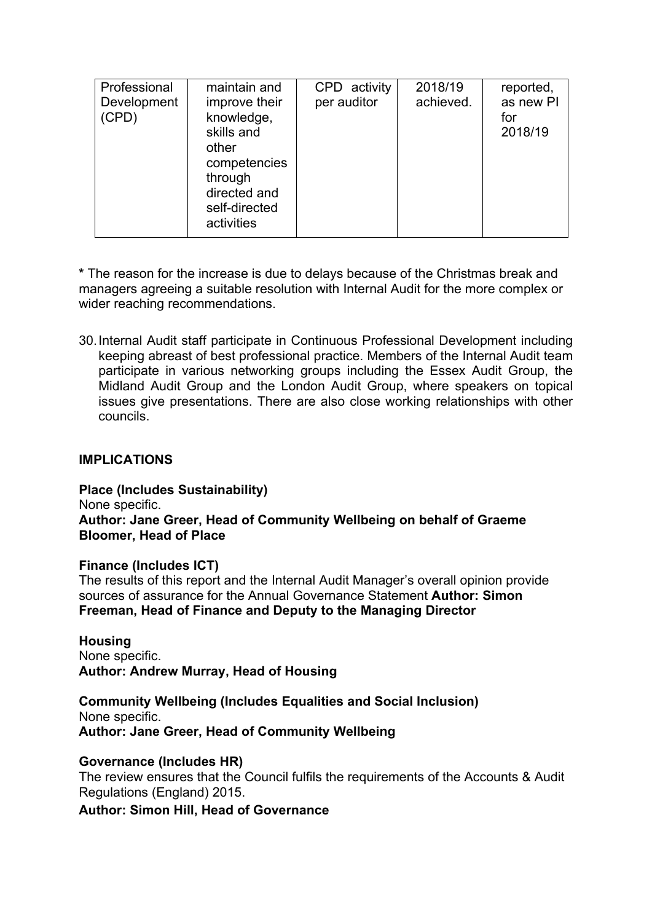| Professional<br>Development<br>(CPD) | maintain and<br>improve their<br>knowledge,<br>skills and<br>other<br>competencies<br>through<br>directed and<br>self-directed<br>activities | CPD activity<br>per auditor | 2018/19<br>achieved. | reported,<br>as new PI<br>for<br>2018/19 |
|--------------------------------------|----------------------------------------------------------------------------------------------------------------------------------------------|-----------------------------|----------------------|------------------------------------------|
|--------------------------------------|----------------------------------------------------------------------------------------------------------------------------------------------|-----------------------------|----------------------|------------------------------------------|

**\*** The reason for the increase is due to delays because of the Christmas break and managers agreeing a suitable resolution with Internal Audit for the more complex or wider reaching recommendations.

30.Internal Audit staff participate in Continuous Professional Development including keeping abreast of best professional practice. Members of the Internal Audit team participate in various networking groups including the Essex Audit Group, the Midland Audit Group and the London Audit Group, where speakers on topical issues give presentations. There are also close working relationships with other councils.

### **IMPLICATIONS**

**Place (Includes Sustainability)**

None specific.

### **Author: Jane Greer, Head of Community Wellbeing on behalf of Graeme Bloomer, Head of Place**

# **Finance (Includes ICT)**

The results of this report and the Internal Audit Manager's overall opinion provide sources of assurance for the Annual Governance Statement **Author: Simon Freeman, Head of Finance and Deputy to the Managing Director**

**Housing** None specific. **Author: Andrew Murray, Head of Housing**

**Community Wellbeing (Includes Equalities and Social Inclusion)** None specific. **Author: Jane Greer, Head of Community Wellbeing**

### **Governance (Includes HR)**

The review ensures that the Council fulfils the requirements of the Accounts & Audit Regulations (England) 2015.

**Author: Simon Hill, Head of Governance**